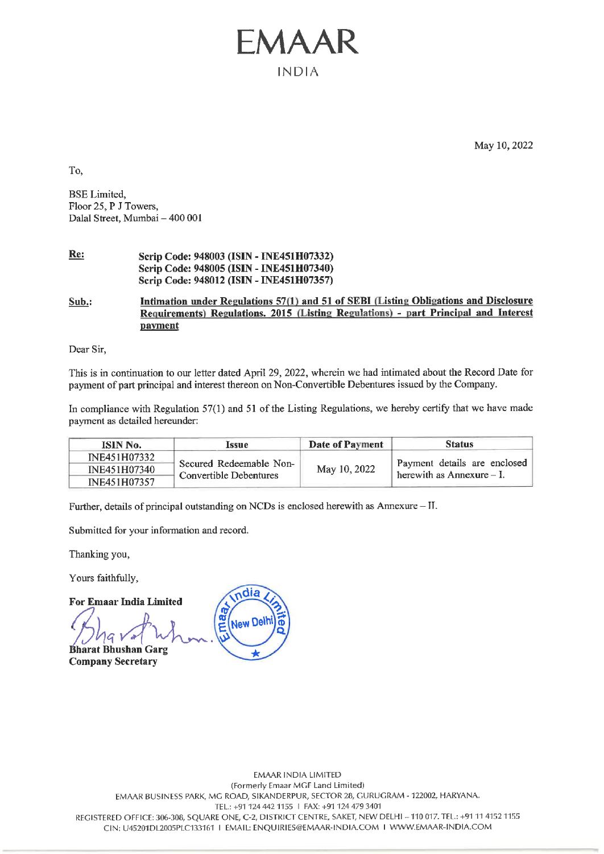## Re: Scrip Code: 948003 (ISIN - INE451H07332) Scrip Code: 948005 (ISIN - INE451H07340) Scrip Code: 948012 (ISIN - INE451H07357)

# Sub.: Intimation under Regulations 57(1) and 51 of SEBI (Listing Obligations and Disclosure Requirements) Regulations. 2015 (Listing Regulations) - part Principal and Interest payment **EVALUATE:**<br>To,<br>BSE Limited,<br>Floor 25, P J Towers,<br>Dalal Street, Mumbai – 400 001<br>Re:<br>Serip Code: 948003 (ISIN - INE451E<br>Serip Code: 948005 (ISIN - INE451E<br>Serip Code: 948012 (ISIN - INE451E<br>Sub.:<br>Intimation under Regulati

|                                                                                |         | EMAAR<br><b>INDIA</b>                                                                                                            |                        |                                                                                                                                                                              |
|--------------------------------------------------------------------------------|---------|----------------------------------------------------------------------------------------------------------------------------------|------------------------|------------------------------------------------------------------------------------------------------------------------------------------------------------------------------|
|                                                                                |         |                                                                                                                                  |                        |                                                                                                                                                                              |
|                                                                                |         |                                                                                                                                  |                        | May 10, 2022                                                                                                                                                                 |
| To,                                                                            |         |                                                                                                                                  |                        |                                                                                                                                                                              |
| <b>BSE</b> Limited,<br>Floor 25, P J Towers,<br>Dalal Street, Mumbai - 400 001 |         |                                                                                                                                  |                        |                                                                                                                                                                              |
| Re:                                                                            |         | Scrip Code: 948003 (ISIN - INE451H07332)<br>Scrip Code: 948005 (ISIN - INE451H07340)<br>Scrip Code: 948012 (ISIN - INE451H07357) |                        |                                                                                                                                                                              |
| Sub.:                                                                          | payment |                                                                                                                                  |                        | Intimation under Regulations 57(1) and 51 of SEBI (Listing Obligations and Disclosure<br>Requirements) Regulations. 2015 (Listing Regulations) - part Principal and Interest |
| Dear Sir,                                                                      |         |                                                                                                                                  |                        |                                                                                                                                                                              |
|                                                                                |         | payment of part principal and interest thereon on Non-Convertible Debentures issued by the Company.                              |                        | This is in continuation to our letter dated April 29, 2022, wherein we had intimated about the Record Date for                                                               |
| payment as detailed hereunder:                                                 |         |                                                                                                                                  |                        | In compliance with Regulation 57(1) and 51 of the Listing Regulations, we hereby certify that we have made                                                                   |
| ISIN No.                                                                       |         | <b>Issue</b>                                                                                                                     | <b>Date of Payment</b> | <b>Status</b>                                                                                                                                                                |
| INE451H07332<br>INE451H07340<br>INE451H07357                                   |         | Secured Redeemable Non-<br>Convertible Debentures                                                                                | May 10, 2022           | Payment details are enclosed<br>herewith as Annexure $-1$ .                                                                                                                  |

Further, details of principal outstanding on NCDs is enclosed herewith as Annexure — II.

Submitted for your information and record.

Thanking you,

Yours faithfully,

For Emaar India Limited

**Bharat Bhushan Garg** Company Secretary

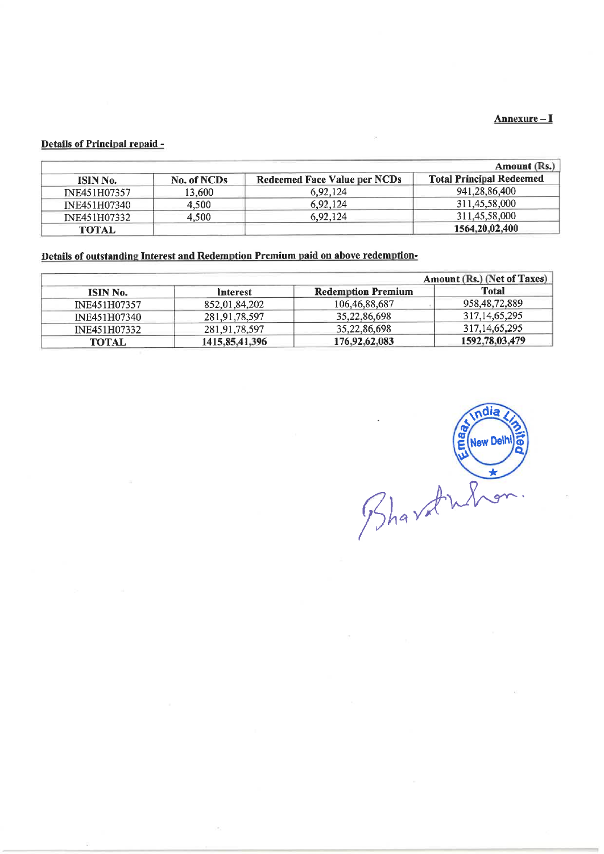# Details of Principal repaid - Details of Principal repaid -

| H.                                                   |                                |                                                                                  |                                                                                                                                      |
|------------------------------------------------------|--------------------------------|----------------------------------------------------------------------------------|--------------------------------------------------------------------------------------------------------------------------------------|
|                                                      |                                |                                                                                  |                                                                                                                                      |
|                                                      |                                |                                                                                  |                                                                                                                                      |
| ISIN No.                                             | No. of NCDs                    | <b>Redeemed Face Value per NCDs</b>                                              |                                                                                                                                      |
| INE451H07357                                         | 13,600                         | 6,92,124                                                                         | 941,28,86,400                                                                                                                        |
| INE451H07340                                         | 4,500                          | 6,92,124                                                                         | 311,45,58,000                                                                                                                        |
| INE451H07332                                         | 4,500                          | 6,92,124                                                                         | 311,45,58,000                                                                                                                        |
| <b>TOTAL</b>                                         |                                | Details of outstanding Interest and Redemption Premium paid on above redemption- | 1564,20,02,400                                                                                                                       |
|                                                      |                                |                                                                                  |                                                                                                                                      |
|                                                      |                                |                                                                                  |                                                                                                                                      |
| ISIN No.                                             | <b>Interest</b>                | <b>Redemption Premium</b>                                                        | <b>Total</b>                                                                                                                         |
| <b>Details of Principal repaid -</b><br>INE451H07357 | 852,01,84,202                  | 106,46,88,687                                                                    | 958, 48, 72, 889                                                                                                                     |
| INE451H07340<br>INE451H07332                         | 281,91,78,597<br>281,91,78,597 | 35,22,86,698<br>35,22,86,698                                                     | Annexure-I<br>Amount (Rs.)<br><b>Total Principal Redeemed</b><br>Amount (Rs.) (Net of Taxes)<br>317, 14, 65, 295<br>317, 14, 65, 295 |

|                 | Amount (Rs.) (Net of Taxes) |                           |                  |  |  |
|-----------------|-----------------------------|---------------------------|------------------|--|--|
| <b>ISIN No.</b> | Interest                    | <b>Redemption Premium</b> | <b>Total</b>     |  |  |
| INE451H07357    | 852,01,84,202               | 106, 46, 88, 687          | 958, 48, 72, 889 |  |  |
| INE451H07340    | 281,91,78,597               | 35,22,86,698              | 317, 14, 65, 295 |  |  |
| INE451H07332    | 281,91,78,597               | 35,22,86,698              | 317, 14, 65, 295 |  |  |
| <b>TOTAL</b>    | 1415, 85, 41, 396           | 176,92,62,083             | 1592,78.03.479   |  |  |

dia Bhardward E New Delhi ြ